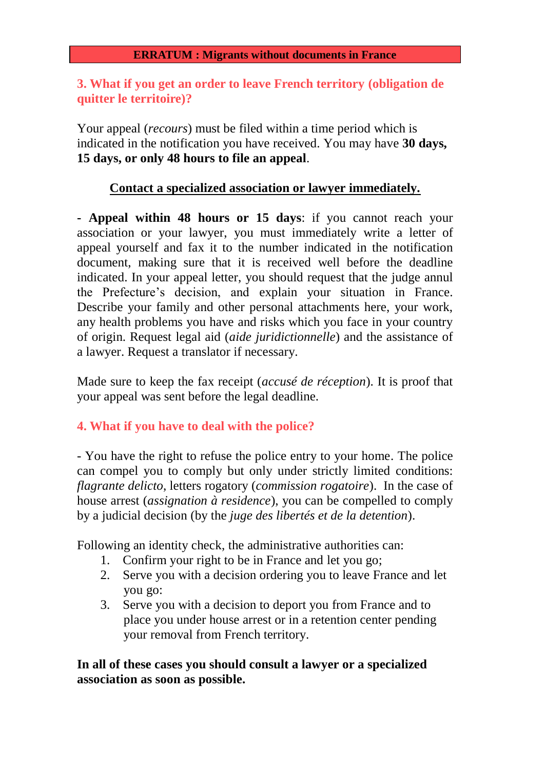## **3. What if you get an order to leave French territory (obligation de quitter le territoire)?**

Your appeal (*recours*) must be filed within a time period which is indicated in the notification you have received. You may have **30 days, 15 days, or only 48 hours to file an appeal**.

## **Contact a specialized association or lawyer immediately.**

**- Appeal within 48 hours or 15 days**: if you cannot reach your association or your lawyer, you must immediately write a letter of appeal yourself and fax it to the number indicated in the notification document, making sure that it is received well before the deadline indicated. In your appeal letter, you should request that the judge annul the Prefecture's decision, and explain your situation in France. Describe your family and other personal attachments here, your work, any health problems you have and risks which you face in your country of origin. Request legal aid (*aide juridictionnelle*) and the assistance of a lawyer. Request a translator if necessary.

Made sure to keep the fax receipt (*accusé de réception*). It is proof that your appeal was sent before the legal deadline.

#### **4. What if you have to deal with the police?**

- You have the right to refuse the police entry to your home. The police can compel you to comply but only under strictly limited conditions: *flagrante delicto*, letters rogatory (*commission rogatoire*). In the case of house arrest (*assignation à residence*), you can be compelled to comply by a judicial decision (by the *juge des libertés et de la detention*).

Following an identity check, the administrative authorities can:

- 1. Confirm your right to be in France and let you go;
- 2. Serve you with a decision ordering you to leave France and let you go:
- 3. Serve you with a decision to deport you from France and to place you under house arrest or in a retention center pending your removal from French territory.

## **In all of these cases you should consult a lawyer or a specialized association as soon as possible.**